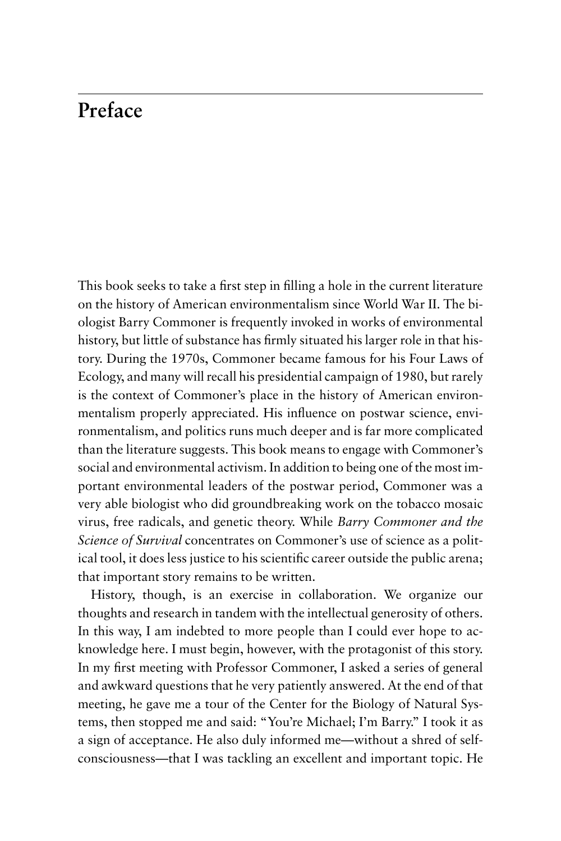## **Preface**

This book seeks to take a first step in filling a hole in the current literature on the history of American environmentalism since World War II. The biologist Barry Commoner is frequently invoked in works of environmental history, but little of substance has firmly situated his larger role in that history. During the 1970s, Commoner became famous for his Four Laws of Ecology, and many will recall his presidential campaign of 1980, but rarely is the context of Commoner's place in the history of American environmentalism properly appreciated. His influence on postwar science, environmentalism, and politics runs much deeper and is far more complicated than the literature suggests. This book means to engage with Commoner's social and environmental activism. In addition to being one of the most important environmental leaders of the postwar period, Commoner was a very able biologist who did groundbreaking work on the tobacco mosaic virus, free radicals, and genetic theory. While *Barry Commoner and the Science of Survival* concentrates on Commoner's use of science as a political tool, it does less justice to his scientific career outside the public arena; that important story remains to be written.

History, though, is an exercise in collaboration. We organize our thoughts and research in tandem with the intellectual generosity of others. In this way, I am indebted to more people than I could ever hope to acknowledge here. I must begin, however, with the protagonist of this story. In my first meeting with Professor Commoner, I asked a series of general and awkward questions that he very patiently answered. At the end of that meeting, he gave me a tour of the Center for the Biology of Natural Systems, then stopped me and said: "You're Michael; I'm Barry." I took it as a sign of acceptance. He also duly informed me—without a shred of selfconsciousness—that I was tackling an excellent and important topic. He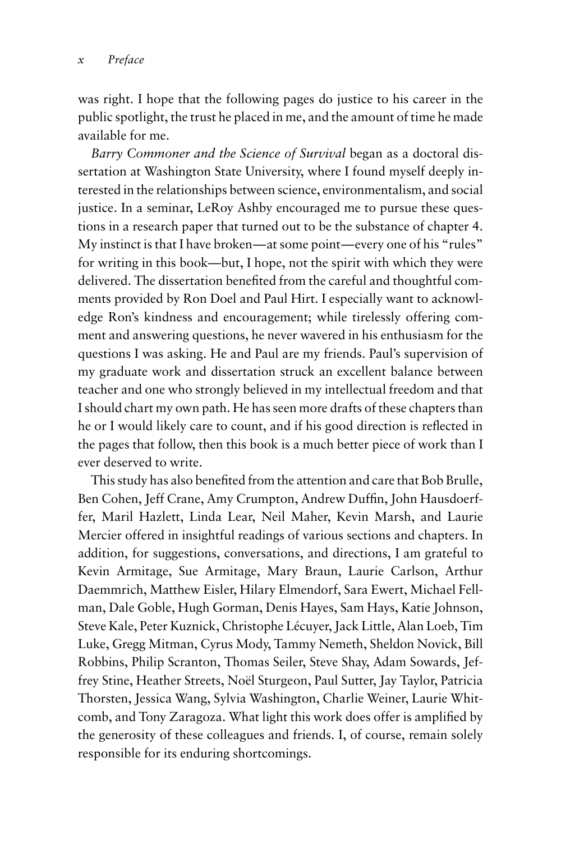was right. I hope that the following pages do justice to his career in the public spotlight, the trust he placed in me, and the amount of time he made available for me.

*Barry Commoner and the Science of Survival* began as a doctoral dissertation at Washington State University, where I found myself deeply interested in the relationships between science, environmentalism, and social justice. In a seminar, LeRoy Ashby encouraged me to pursue these questions in a research paper that turned out to be the substance of chapter 4. My instinct is that I have broken—at some point—every one of his "rules" for writing in this book—but, I hope, not the spirit with which they were delivered. The dissertation benefited from the careful and thoughtful comments provided by Ron Doel and Paul Hirt. I especially want to acknowledge Ron's kindness and encouragement; while tirelessly offering comment and answering questions, he never wavered in his enthusiasm for the questions I was asking. He and Paul are my friends. Paul's supervision of my graduate work and dissertation struck an excellent balance between teacher and one who strongly believed in my intellectual freedom and that I should chart my own path. He has seen more drafts of these chapters than he or I would likely care to count, and if his good direction is reflected in the pages that follow, then this book is a much better piece of work than I ever deserved to write.

This study has also benefited from the attention and care that Bob Brulle, Ben Cohen, Jeff Crane, Amy Crumpton, Andrew Duffin, John Hausdoerffer, Maril Hazlett, Linda Lear, Neil Maher, Kevin Marsh, and Laurie Mercier offered in insightful readings of various sections and chapters. In addition, for suggestions, conversations, and directions, I am grateful to Kevin Armitage, Sue Armitage, Mary Braun, Laurie Carlson, Arthur Daemmrich, Matthew Eisler, Hilary Elmendorf, Sara Ewert, Michael Fellman, Dale Goble, Hugh Gorman, Denis Hayes, Sam Hays, Katie Johnson, Steve Kale, Peter Kuznick, Christophe Lécuyer, Jack Little, Alan Loeb, Tim Luke, Gregg Mitman, Cyrus Mody, Tammy Nemeth, Sheldon Novick, Bill Robbins, Philip Scranton, Thomas Seiler, Steve Shay, Adam Sowards, Jeffrey Stine, Heather Streets, Noël Sturgeon, Paul Sutter, Jay Taylor, Patricia Thorsten, Jessica Wang, Sylvia Washington, Charlie Weiner, Laurie Whitcomb, and Tony Zaragoza. What light this work does offer is amplified by the generosity of these colleagues and friends. I, of course, remain solely responsible for its enduring shortcomings.